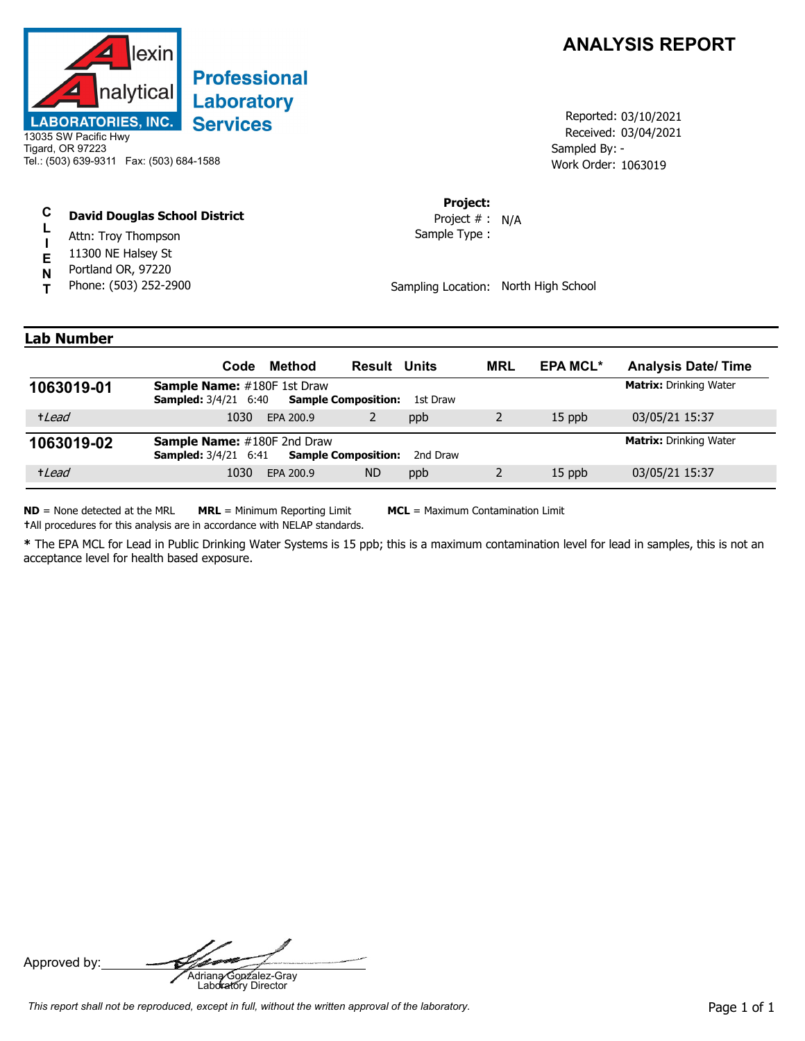

# **Professional Laboratory Services**

13035 SW Pacific Hwy Tigard, OR 97223 Tel.: (503) 639-9311 Fax: (503) 684-1588

#### **C David Douglas School District**

- **L** Attn: Troy Thompson
- **I E** 11300 NE Halsey St
- Portland OR, 97220
- **N T** Phone: (503) 252-2900

## **ANALYSIS REPORT**

Received: 03/04/2021 Work Order: 1063019 Reported: 03/10/2021 Sampled By: -

#### **Project:**

Sample Type : Project # : N/A

Sampling Location: North High School

### **Lab Number**

|            | Code                                                              | <b>Result Units</b><br>Method |          | <b>MRL</b> | <b>EPA MCL*</b> | <b>Analysis Date/Time</b>     |
|------------|-------------------------------------------------------------------|-------------------------------|----------|------------|-----------------|-------------------------------|
| 1063019-01 | Sample Name: #180F 1st Draw<br><b>Sampled:</b> 3/4/21 6:40        | <b>Sample Composition:</b>    | 1st Draw |            |                 | <b>Matrix: Drinking Water</b> |
| +Lead      | 1030                                                              | EPA 200.9<br>2                | ppb      |            | $15$ ppb        | 03/05/21 15:37                |
| 1063019-02 | <b>Sample Name:</b> #180F 2nd Draw<br><b>Sampled:</b> 3/4/21 6:41 | <b>Sample Composition:</b>    | 2nd Draw |            |                 | <b>Matrix:</b> Drinking Water |
| +Lead      | 1030                                                              | <b>ND</b><br>EPA 200.9        | ppb      |            | 15 ppb          | 03/05/21 15:37                |

**ND** = None detected at the MRL **MRL** = Minimum Reporting Limit **MCL** = Maximum Contamination Limit **†**All procedures for this analysis are in accordance with NELAP standards.

**\*** The EPA MCL for Lead in Public Drinking Water Systems is 15 ppb; this is a maximum contamination level for lead in samples, this is not an

acceptance level for health based exposure.

Approved by: **Adriana Gonzalez-Gray**<br>Adriana Gonzalez-Gray<br>Laboratory Director